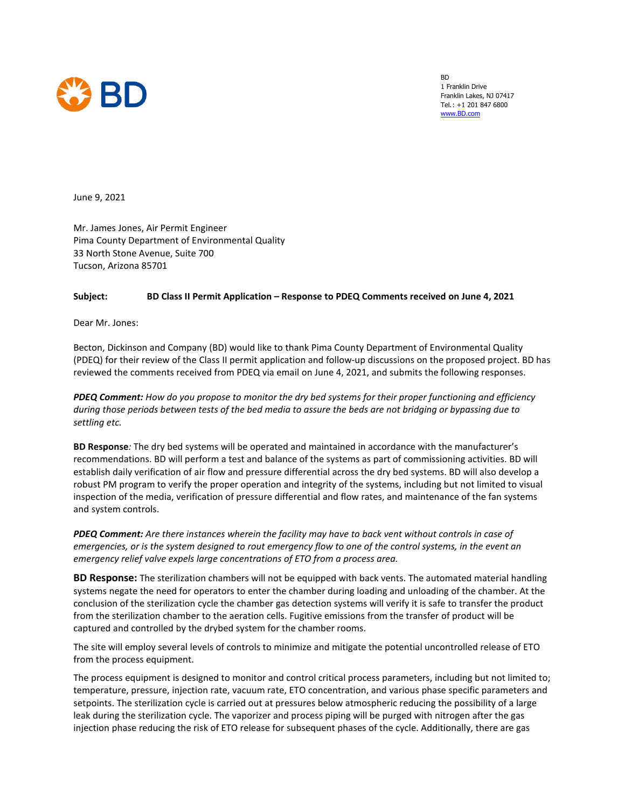

BD 1 Franklin Drive Franklin Lakes, NJ 07417 Tel.: +1 201 847 6800 [www.BD.com](http://www.bd.com/)

June 9, 2021

Mr. James Jones, Air Permit Engineer Pima County Department of Environmental Quality 33 North Stone Avenue, Suite 700 Tucson, Arizona 85701

## **Subject: BD Class II Permit Application – Response to PDEQ Comments received on June 4, 2021**

Dear Mr. Jones:

Becton, Dickinson and Company (BD) would like to thank Pima County Department of Environmental Quality (PDEQ) for their review of the Class II permit application and follow-up discussions on the proposed project. BD has reviewed the comments received from PDEQ via email on June 4, 2021, and submits the following responses.

*PDEQ Comment: How do you propose to monitor the dry bed systems for their proper functioning and efficiency during those periods between tests of the bed media to assure the beds are not bridging or bypassing due to settling etc.*

**BD Response***:* The dry bed systems will be operated and maintained in accordance with the manufacturer's recommendations. BD will perform a test and balance of the systems as part of commissioning activities. BD will establish daily verification of air flow and pressure differential across the dry bed systems. BD will also develop a robust PM program to verify the proper operation and integrity of the systems, including but not limited to visual inspection of the media, verification of pressure differential and flow rates, and maintenance of the fan systems and system controls.

*PDEQ Comment: Are there instances wherein the facility may have to back vent without controls in case of emergencies, or is the system designed to rout emergency flow to one of the control systems, in the event an emergency relief valve expels large concentrations of ETO from a process area.*

**BD Response:** The sterilization chambers will not be equipped with back vents. The automated material handling systems negate the need for operators to enter the chamber during loading and unloading of the chamber. At the conclusion of the sterilization cycle the chamber gas detection systems will verify it is safe to transfer the product from the sterilization chamber to the aeration cells. Fugitive emissions from the transfer of product will be captured and controlled by the drybed system for the chamber rooms.

The site will employ several levels of controls to minimize and mitigate the potential uncontrolled release of ETO from the process equipment.

The process equipment is designed to monitor and control critical process parameters, including but not limited to; temperature, pressure, injection rate, vacuum rate, ETO concentration, and various phase specific parameters and setpoints. The sterilization cycle is carried out at pressures below atmospheric reducing the possibility of a large leak during the sterilization cycle. The vaporizer and process piping will be purged with nitrogen after the gas injection phase reducing the risk of ETO release for subsequent phases of the cycle. Additionally, there are gas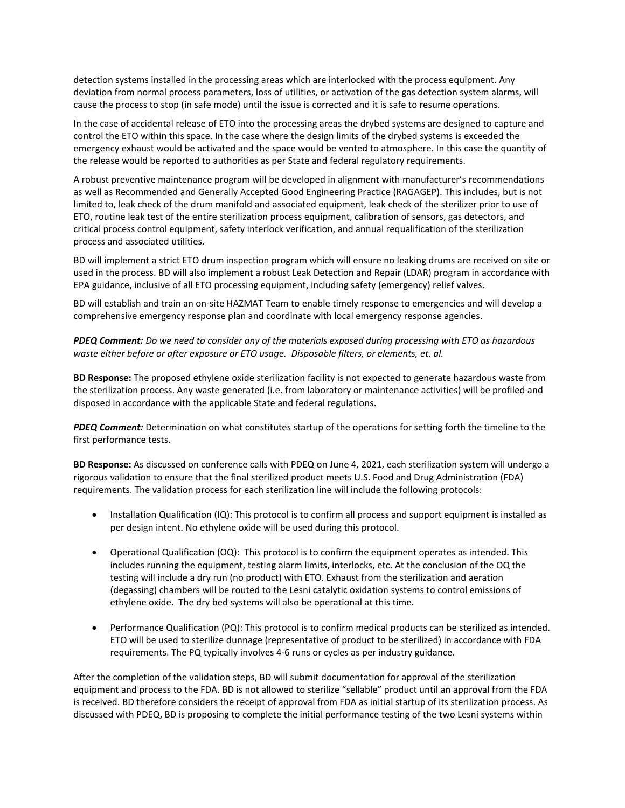detection systems installed in the processing areas which are interlocked with the process equipment. Any deviation from normal process parameters, loss of utilities, or activation of the gas detection system alarms, will cause the process to stop (in safe mode) until the issue is corrected and it is safe to resume operations.

In the case of accidental release of ETO into the processing areas the drybed systems are designed to capture and control the ETO within this space. In the case where the design limits of the drybed systems is exceeded the emergency exhaust would be activated and the space would be vented to atmosphere. In this case the quantity of the release would be reported to authorities as per State and federal regulatory requirements.

A robust preventive maintenance program will be developed in alignment with manufacturer's recommendations as well as Recommended and Generally Accepted Good Engineering Practice (RAGAGEP). This includes, but is not limited to, leak check of the drum manifold and associated equipment, leak check of the sterilizer prior to use of ETO, routine leak test of the entire sterilization process equipment, calibration of sensors, gas detectors, and critical process control equipment, safety interlock verification, and annual requalification of the sterilization process and associated utilities.

BD will implement a strict ETO drum inspection program which will ensure no leaking drums are received on site or used in the process. BD will also implement a robust Leak Detection and Repair (LDAR) program in accordance with EPA guidance, inclusive of all ETO processing equipment, including safety (emergency) relief valves.

BD will establish and train an on-site HAZMAT Team to enable timely response to emergencies and will develop a comprehensive emergency response plan and coordinate with local emergency response agencies.

*PDEQ Comment: Do we need to consider any of the materials exposed during processing with ETO as hazardous waste either before or after exposure or ETO usage. Disposable filters, or elements, et. al.*

**BD Response:** The proposed ethylene oxide sterilization facility is not expected to generate hazardous waste from the sterilization process. Any waste generated (i.e. from laboratory or maintenance activities) will be profiled and disposed in accordance with the applicable State and federal regulations.

*PDEQ Comment:* Determination on what constitutes startup of the operations for setting forth the timeline to the first performance tests.

**BD Response:** As discussed on conference calls with PDEQ on June 4, 2021, each sterilization system will undergo a rigorous validation to ensure that the final sterilized product meets U.S. Food and Drug Administration (FDA) requirements. The validation process for each sterilization line will include the following protocols:

- Installation Qualification (IQ): This protocol is to confirm all process and support equipment is installed as per design intent. No ethylene oxide will be used during this protocol.
- Operational Qualification (OQ): This protocol is to confirm the equipment operates as intended. This includes running the equipment, testing alarm limits, interlocks, etc. At the conclusion of the OQ the testing will include a dry run (no product) with ETO. Exhaust from the sterilization and aeration (degassing) chambers will be routed to the Lesni catalytic oxidation systems to control emissions of ethylene oxide. The dry bed systems will also be operational at this time.
- Performance Qualification (PQ): This protocol is to confirm medical products can be sterilized as intended. ETO will be used to sterilize dunnage (representative of product to be sterilized) in accordance with FDA requirements. The PQ typically involves 4-6 runs or cycles as per industry guidance.

After the completion of the validation steps, BD will submit documentation for approval of the sterilization equipment and process to the FDA. BD is not allowed to sterilize "sellable" product until an approval from the FDA is received. BD therefore considers the receipt of approval from FDA as initial startup of its sterilization process. As discussed with PDEQ, BD is proposing to complete the initial performance testing of the two Lesni systems within